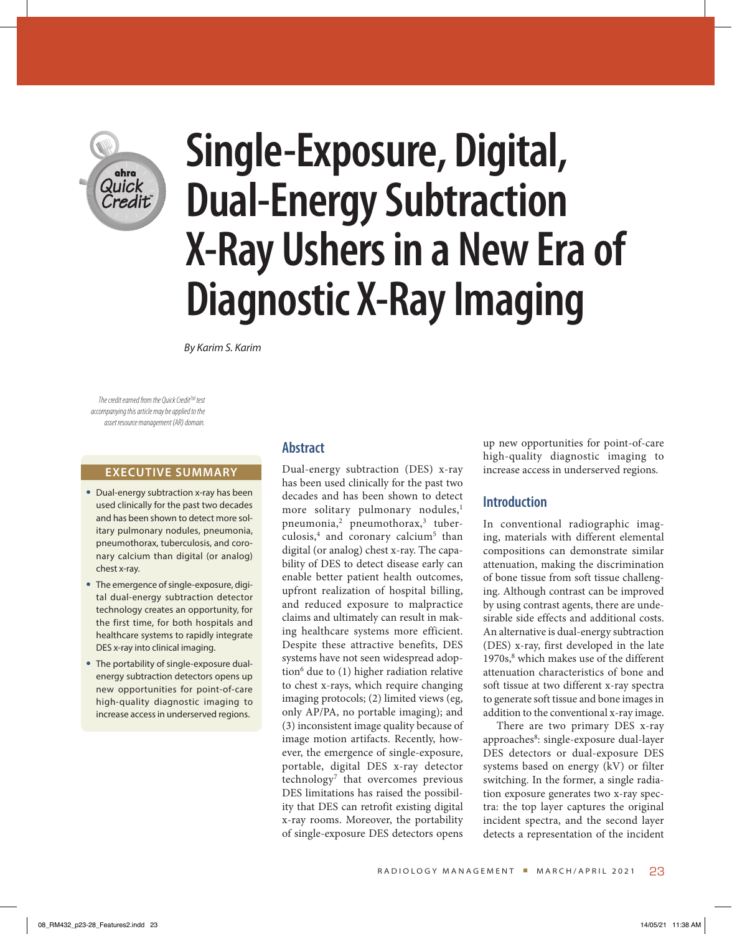

# **Single-Exposure, Digital, Dual-Energy Subtraction X-Ray Ushers in a New Era of Diagnostic X-Ray Imaging**

*By Karim S. Karim* 

*The credit earned from the Quick CreditTM test accompanying this article may be applied to the asset resource management (AR) domain.*

#### **EXECUTIVE SUMMARY**

- Dual-energy subtraction x-ray has been used clinically for the past two decades and has been shown to detect more solitary pulmonary nodules, pneumonia, pneumothorax, tuberculosis, and coronary calcium than digital (or analog) chest x-ray.
- The emergence of single-exposure, digital dual-energy subtraction detector technology creates an opportunity, for the first time, for both hospitals and healthcare systems to rapidly integrate DES x-ray into clinical imaging.
- The portability of single-exposure dualenergy subtraction detectors opens up new opportunities for point-of-care high-quality diagnostic imaging to increase access in underserved regions.

#### **Abstract**

Dual-energy subtraction (DES) x-ray has been used clinically for the past two decades and has been shown to detect more solitary pulmonary nodules,<sup>1</sup> pneumonia,<sup>2</sup> pneumothorax,<sup>3</sup> tuberculosis,<sup>4</sup> and coronary calcium<sup>5</sup> than digital (or analog) chest x-ray. The capability of DES to detect disease early can enable better patient health outcomes, upfront realization of hospital billing, and reduced exposure to malpractice claims and ultimately can result in making healthcare systems more efficient. Despite these attractive benefits, DES systems have not seen widespread adoption $6$  due to (1) higher radiation relative to chest x-rays, which require changing imaging protocols; (2) limited views (eg, only AP/PA, no portable imaging); and (3) inconsistent image quality because of image motion artifacts. Recently, however, the emergence of single-exposure, portable, digital DES x-ray detector technology7 that overcomes previous DES limitations has raised the possibility that DES can retrofit existing digital x-ray rooms. Moreover, the portability of single-exposure DES detectors opens

up new opportunities for point-of-care high-quality diagnostic imaging to increase access in underserved regions.

#### **Introduction**

In conventional radiographic imaging, materials with different elemental compositions can demonstrate similar attenuation, making the discrimination of bone tissue from soft tissue challenging. Although contrast can be improved by using contrast agents, there are undesirable side effects and additional costs. An alternative is dual-energy subtraction (DES) x-ray, first developed in the late 1970s,<sup>8</sup> which makes use of the different attenuation characteristics of bone and soft tissue at two different x-ray spectra to generate soft tissue and bone images in addition to the conventional x-ray image.

There are two primary DES x-ray approaches<sup>8</sup>: single-exposure dual-layer DES detectors or dual-exposure DES systems based on energy (kV) or filter switching. In the former, a single radiation exposure generates two x-ray spectra: the top layer captures the original incident spectra, and the second layer detects a representation of the incident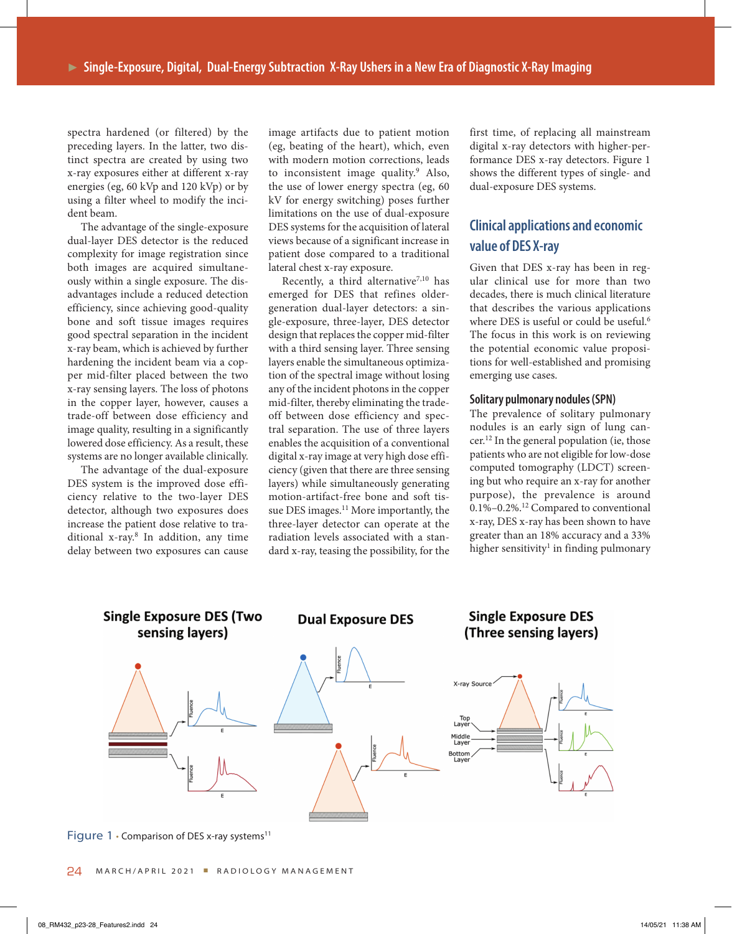spectra hardened (or filtered) by the preceding layers. In the latter, two distinct spectra are created by using two x-ray exposures either at different x-ray energies (eg, 60 kVp and 120 kVp) or by using a filter wheel to modify the incident beam.

The advantage of the single-exposure dual-layer DES detector is the reduced complexity for image registration since both images are acquired simultaneously within a single exposure. The disadvantages include a reduced detection efficiency, since achieving good-quality bone and soft tissue images requires good spectral separation in the incident x-ray beam, which is achieved by further hardening the incident beam via a copper mid-filter placed between the two x-ray sensing layers. The loss of photons in the copper layer, however, causes a trade-off between dose efficiency and image quality, resulting in a significantly lowered dose efficiency. As a result, these systems are no longer available clinically.

The advantage of the dual-exposure DES system is the improved dose efficiency relative to the two-layer DES detector, although two exposures does increase the patient dose relative to traditional x-ray.8 In addition, any time delay between two exposures can cause

image artifacts due to patient motion (eg, beating of the heart), which, even with modern motion corrections, leads to inconsistent image quality.<sup>9</sup> Also, the use of lower energy spectra (eg, 60 kV for energy switching) poses further limitations on the use of dual-exposure DES systems for the acquisition of lateral views because of a significant increase in patient dose compared to a traditional lateral chest x-ray exposure.

Recently, a third alternative<sup>7,10</sup> has emerged for DES that refines oldergeneration dual-layer detectors: a single-exposure, three-layer, DES detector design that replaces the copper mid-filter with a third sensing layer. Three sensing layers enable the simultaneous optimization of the spectral image without losing any of the incident photons in the copper mid-filter, thereby eliminating the tradeoff between dose efficiency and spectral separation. The use of three layers enables the acquisition of a conventional digital x-ray image at very high dose efficiency (given that there are three sensing layers) while simultaneously generating motion-artifact-free bone and soft tissue DES images.<sup>11</sup> More importantly, the three-layer detector can operate at the radiation levels associated with a standard x-ray, teasing the possibility, for the first time, of replacing all mainstream digital x-ray detectors with higher-performance DES x-ray detectors. Figure 1 shows the different types of single- and dual-exposure DES systems.

### **Clinical applications and economic value of DES X-ray**

Given that DES x-ray has been in regular clinical use for more than two decades, there is much clinical literature that describes the various applications where DES is useful or could be useful.<sup>6</sup> The focus in this work is on reviewing the potential economic value propositions for well-established and promising emerging use cases.

#### **Solitary pulmonary nodules (SPN)**

The prevalence of solitary pulmonary nodules is an early sign of lung cancer.12 In the general population (ie, those patients who are not eligible for low-dose computed tomography (LDCT) screening but who require an x-ray for another purpose), the prevalence is around 0.1%–0.2%.12 Compared to conventional x-ray, DES x-ray has been shown to have greater than an 18% accuracy and a 33% higher sensitivity<sup>1</sup> in finding pulmonary



Figure 1 • Comparison of DES x-ray systems<sup>11</sup>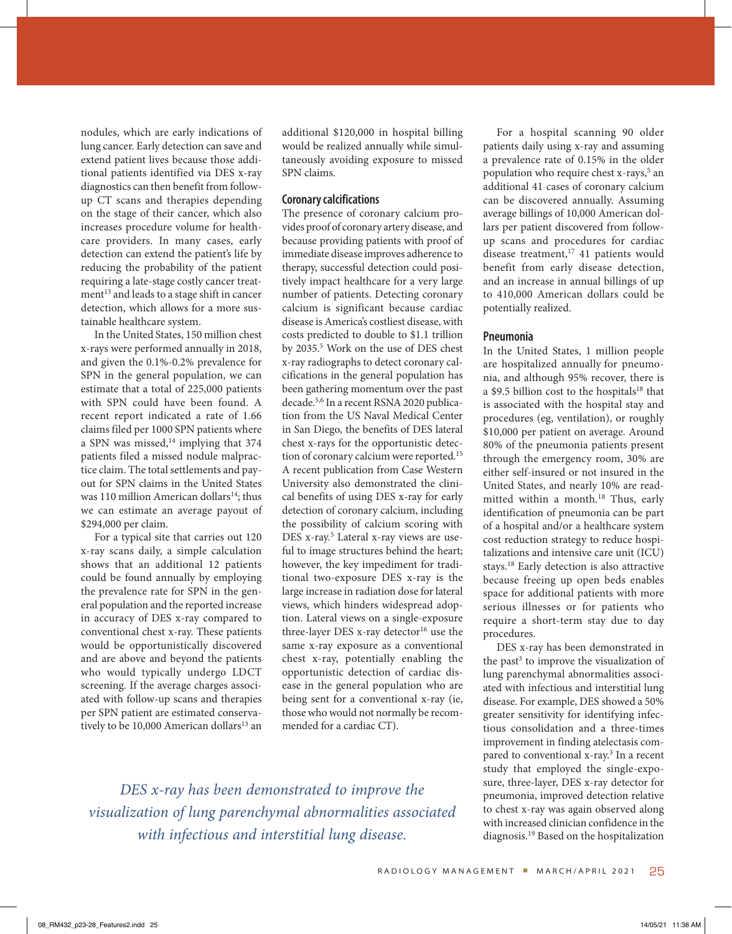nodules, which are early indications of lung cancer. Early detection can save and extend patient lives because those additional patients identified via DES x-ray diagnostics can then benefit from followup CT scans and therapies depending on the stage of their cancer, which also increases procedure volume for healthcare providers. In many cases, early detection can extend the patient's life by reducing the probability of the patient requiring a late-stage costly cancer treatment<sup>13</sup> and leads to a stage shift in cancer detection, which allows for a more sustainable healthcare system.

In the United States, 150 million chest x-rays were performed annually in 2018, and given the 0.1%-0.2% prevalence for SPN in the general population, we can estimate that a total of 225,000 patients with SPN could have been found. A recent report indicated a rate of 1.66 claims filed per 1000 SPN patients where a SPN was missed, $14$  implying that 374 patients filed a missed nodule malpractice claim. The total settlements and payout for SPN claims in the United States was 110 million American dollars<sup>14</sup>; thus we can estimate an average payout of \$294,000 per claim.

For a typical site that carries out 120 x-ray scans daily, a simple calculation shows that an additional 12 patients could be found annually by employing the prevalence rate for SPN in the general population and the reported increase in accuracy of DES x-ray compared to conventional chest x-ray. These patients would be opportunistically discovered and are above and beyond the patients who would typically undergo LDCT screening. If the average charges associated with follow-up scans and therapies per SPN patient are estimated conservatively to be 10,000 American dollars<sup>13</sup> an additional \$120,000 in hospital billing would be realized annually while simultaneously avoiding exposure to missed SPN claims.

#### **Coronary calcifications**

The presence of coronary calcium provides proof of coronary artery disease, and because providing patients with proof of immediate disease improves adherence to therapy, successful detection could positively impact healthcare for a very large number of patients. Detecting coronary calcium is significant because cardiac disease is America's costliest disease, with costs predicted to double to \$1.1 trillion by 2035.<sup>5</sup> Work on the use of DES chest x-ray radiographs to detect coronary calcifications in the general population has been gathering momentum over the past decade.5,6 In a recent RSNA 2020 publication from the US Naval Medical Center in San Diego, the benefits of DES lateral chest x-rays for the opportunistic detection of coronary calcium were reported.15 A recent publication from Case Western University also demonstrated the clinical benefits of using DES x-ray for early detection of coronary calcium, including the possibility of calcium scoring with DES x-ray.<sup>5</sup> Lateral x-ray views are useful to image structures behind the heart; however, the key impediment for traditional two-exposure DES x-ray is the large increase in radiation dose for lateral views, which hinders widespread adoption. Lateral views on a single-exposure three-layer DES x-ray detector<sup>16</sup> use the same x-ray exposure as a conventional chest x-ray, potentially enabling the opportunistic detection of cardiac disease in the general population who are being sent for a conventional x-ray (ie, those who would not normally be recommended for a cardiac CT).

DES x-ray has been demonstrated in the past<sup>3</sup> to improve the visualization of lung parenchymal abnormalities associated with infectious and interstitial lung disease. For example, DES showed a 50% greater sensitivity for identifying infectious consolidation and a three-times improvement in finding atelectasis compared to conventional x-ray.3 In a recent study that employed the single-exposure, three-layer, DES x-ray detector for pneumonia, improved detection relative to chest x-ray was again observed along with increased clinician confidence in the diagnosis.19 Based on the hospitalization

*DES x-ray has been demonstrated to improve the visualization of lung parenchymal abnormalities associated with infectious and interstitial lung disease.*

For a hospital scanning 90 older patients daily using x-ray and assuming a prevalence rate of 0.15% in the older population who require chest x-rays,<sup>5</sup> an additional 41 cases of coronary calcium can be discovered annually. Assuming average billings of 10,000 American dollars per patient discovered from followup scans and procedures for cardiac disease treatment,<sup>17</sup> 41 patients would benefit from early disease detection, and an increase in annual billings of up to 410,000 American dollars could be potentially realized.

#### **Pneumonia**

In the United States, 1 million people are hospitalized annually for pneumonia, and although 95% recover, there is a \$9.5 billion cost to the hospitals $18$  that is associated with the hospital stay and procedures (eg, ventilation), or roughly \$10,000 per patient on average. Around 80% of the pneumonia patients present through the emergency room, 30% are either self-insured or not insured in the United States, and nearly 10% are readmitted within a month.18 Thus, early identification of pneumonia can be part of a hospital and/or a healthcare system cost reduction strategy to reduce hospitalizations and intensive care unit (ICU) stays.18 Early detection is also attractive because freeing up open beds enables space for additional patients with more serious illnesses or for patients who require a short-term stay due to day procedures.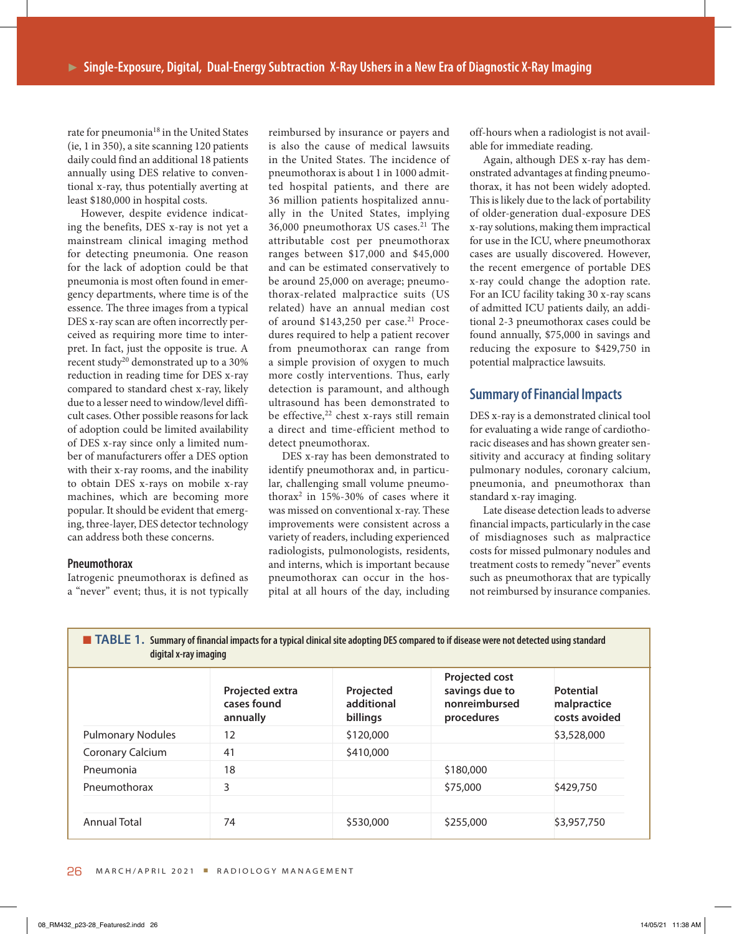rate for pneumonia<sup>18</sup> in the United States (ie, 1 in 350), a site scanning 120 patients daily could find an additional 18 patients annually using DES relative to conventional x-ray, thus potentially averting at least \$180,000 in hospital costs.

However, despite evidence indicating the benefits, DES x-ray is not yet a mainstream clinical imaging method for detecting pneumonia. One reason for the lack of adoption could be that pneumonia is most often found in emergency departments, where time is of the essence. The three images from a typical DES x-ray scan are often incorrectly perceived as requiring more time to interpret. In fact, just the opposite is true. A recent study<sup>20</sup> demonstrated up to a 30% reduction in reading time for DES x-ray compared to standard chest x-ray, likely due to a lesser need to window/level difficult cases. Other possible reasons for lack of adoption could be limited availability of DES x-ray since only a limited number of manufacturers offer a DES option with their x-ray rooms, and the inability to obtain DES x-rays on mobile x-ray machines, which are becoming more popular. It should be evident that emerging, three-layer, DES detector technology can address both these concerns.

#### **Pneumothorax**

Iatrogenic pneumothorax is defined as a "never" event; thus, it is not typically reimbursed by insurance or payers and is also the cause of medical lawsuits in the United States. The incidence of pneumothorax is about 1 in 1000 admitted hospital patients, and there are 36 million patients hospitalized annually in the United States, implying 36,000 pneumothorax US cases.21 The attributable cost per pneumothorax ranges between \$17,000 and \$45,000 and can be estimated conservatively to be around 25,000 on average; pneumothorax-related malpractice suits (US related) have an annual median cost of around \$143,250 per case.<sup>21</sup> Procedures required to help a patient recover from pneumothorax can range from a simple provision of oxygen to much more costly interventions. Thus, early detection is paramount, and although ultrasound has been demonstrated to be effective, $22$  chest x-rays still remain a direct and time-efficient method to detect pneumothorax.

DES x-ray has been demonstrated to identify pneumothorax and, in particular, challenging small volume pneumothorax<sup>2</sup> in  $15\% - 30\%$  of cases where it was missed on conventional x-ray. These improvements were consistent across a variety of readers, including experienced radiologists, pulmonologists, residents, and interns, which is important because pneumothorax can occur in the hospital at all hours of the day, including off-hours when a radiologist is not available for immediate reading.

Again, although DES x-ray has demonstrated advantages at finding pneumothorax, it has not been widely adopted. This is likely due to the lack of portability of older-generation dual-exposure DES x-ray solutions, making them impractical for use in the ICU, where pneumothorax cases are usually discovered. However, the recent emergence of portable DES x-ray could change the adoption rate. For an ICU facility taking 30 x-ray scans of admitted ICU patients daily, an additional 2-3 pneumothorax cases could be found annually, \$75,000 in savings and reducing the exposure to \$429,750 in potential malpractice lawsuits.

#### **Summary of Financial Impacts**

DES x-ray is a demonstrated clinical tool for evaluating a wide range of cardiothoracic diseases and has shown greater sensitivity and accuracy at finding solitary pulmonary nodules, coronary calcium, pneumonia, and pneumothorax than standard x-ray imaging.

Late disease detection leads to adverse financial impacts, particularly in the case of misdiagnoses such as malpractice costs for missed pulmonary nodules and treatment costs to remedy "never" events such as pneumothorax that are typically not reimbursed by insurance companies.

|                          | Projected extra<br>cases found<br>annually | Projected<br>additional<br>billings | <b>Projected cost</b><br>savings due to<br>nonreimbursed<br>procedures | <b>Potential</b><br>malpractice<br>costs avoided |
|--------------------------|--------------------------------------------|-------------------------------------|------------------------------------------------------------------------|--------------------------------------------------|
| <b>Pulmonary Nodules</b> | 12                                         | \$120,000                           |                                                                        | \$3,528,000                                      |
| Coronary Calcium         | 41                                         | \$410,000                           |                                                                        |                                                  |
| Pneumonia                | 18                                         |                                     | \$180,000                                                              |                                                  |
| Pneumothorax             | 3                                          |                                     | \$75,000                                                               | \$429,750                                        |
| Annual Total             | 74                                         | \$530,000                           | \$255,000                                                              | \$3,957,750                                      |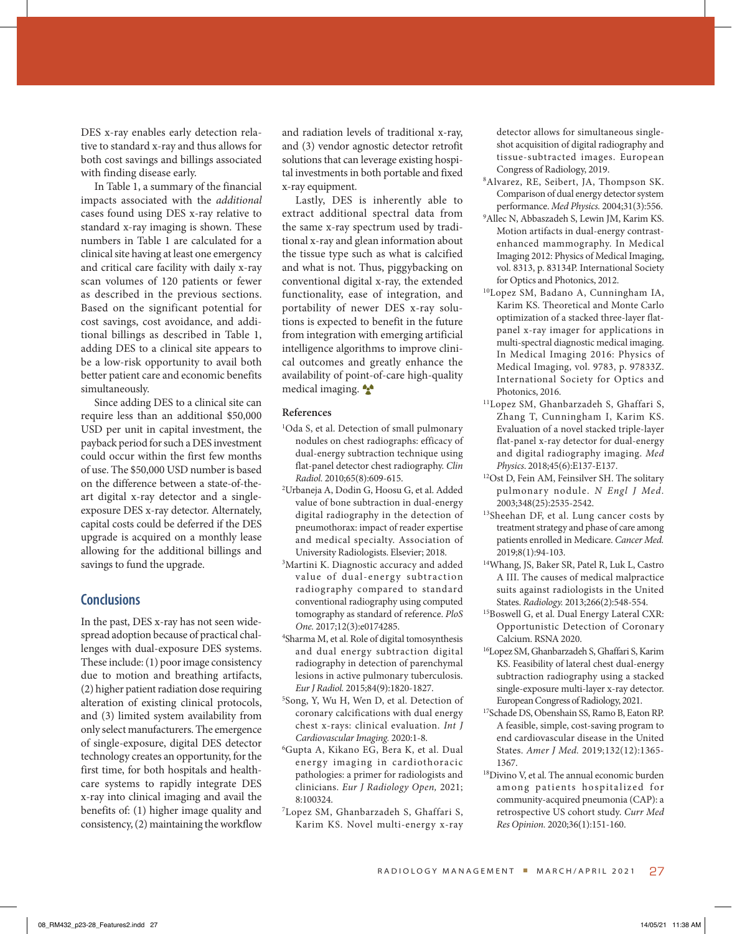DES x-ray enables early detection relative to standard x-ray and thus allows for both cost savings and billings associated with finding disease early.

In Table 1, a summary of the financial impacts associated with the *additional* cases found using DES x-ray relative to standard x-ray imaging is shown. These numbers in Table 1 are calculated for a clinical site having at least one emergency and critical care facility with daily x-ray scan volumes of 120 patients or fewer as described in the previous sections. Based on the significant potential for cost savings, cost avoidance, and additional billings as described in Table 1, adding DES to a clinical site appears to be a low-risk opportunity to avail both better patient care and economic benefits simultaneously.

Since adding DES to a clinical site can require less than an additional \$50,000 USD per unit in capital investment, the payback period for such a DES investment could occur within the first few months of use. The \$50,000 USD number is based on the difference between a state-of-theart digital x-ray detector and a singleexposure DES x-ray detector. Alternately, capital costs could be deferred if the DES upgrade is acquired on a monthly lease allowing for the additional billings and savings to fund the upgrade.

#### **Conclusions**

In the past, DES x-ray has not seen widespread adoption because of practical challenges with dual-exposure DES systems. These include: (1) poor image consistency due to motion and breathing artifacts, (2) higher patient radiation dose requiring alteration of existing clinical protocols, and (3) limited system availability from only select manufacturers. The emergence of single-exposure, digital DES detector technology creates an opportunity, for the first time, for both hospitals and healthcare systems to rapidly integrate DES x-ray into clinical imaging and avail the benefits of: (1) higher image quality and consistency, (2) maintaining the workflow

and radiation levels of traditional x-ray, and (3) vendor agnostic detector retrofit solutions that can leverage existing hospital investments in both portable and fixed x-ray equipment.

Lastly, DES is inherently able to extract additional spectral data from the same x-ray spectrum used by traditional x-ray and glean information about the tissue type such as what is calcified and what is not. Thus, piggybacking on conventional digital x-ray, the extended functionality, ease of integration, and portability of newer DES x-ray solutions is expected to benefit in the future from integration with emerging artificial intelligence algorithms to improve clinical outcomes and greatly enhance the availability of point-of-care high-quality medical imaging.

#### **References**

- 1 Oda S, et al. Detection of small pulmonary nodules on chest radiographs: efficacy of dual-energy subtraction technique using flat-panel detector chest radiography. *Clin Radiol.* 2010;65(8):609-615.
- 2 Urbaneja A, Dodin G, Hoosu G, et al. Added value of bone subtraction in dual-energy digital radiography in the detection of pneumothorax: impact of reader expertise and medical specialty. Association of University Radiologists. Elsevier; 2018.
- 3 Martini K. Diagnostic accuracy and added value of dual-energy subtraction radiography compared to standard conventional radiography using computed tomography as standard of reference. *PloS One.* 2017;12(3):e0174285.
- 4 Sharma M, et al. Role of digital tomosynthesis and dual energy subtraction digital radiography in detection of parenchymal lesions in active pulmonary tuberculosis. *Eur J Radiol.* 2015;84(9):1820-1827.
- 5 Song, Y, Wu H, Wen D, et al. Detection of coronary calcifications with dual energy chest x-rays: clinical evaluation. *Int J Cardiovascular Imaging.* 2020:1-8.
- 6Gupta A, Kikano EG, Bera K, et al. Dual energy imaging in cardiothoracic pathologies: a primer for radiologists and clinicians. *Eur J Radiology Open,* 2021; 8:100324.
- 7Lopez SM, Ghanbarzadeh S, Ghaffari S, Karim KS. Novel multi-energy x-ray

detector allows for simultaneous singleshot acquisition of digital radiography and tissue-subtracted images. European Congress of Radiology, 2019.

- 8Alvarez, RE, Seibert, JA, Thompson SK. Comparison of dual energy detector system performance. *Med Physics.* 2004;31(3):556.
- 9 Allec N, Abbaszadeh S, Lewin JM, Karim KS. Motion artifacts in dual-energy contrastenhanced mammography. In Medical Imaging 2012: Physics of Medical Imaging, vol. 8313, p. 83134P. International Society for Optics and Photonics, 2012.
- 10Lopez SM, Badano A, Cunningham IA, Karim KS. Theoretical and Monte Carlo optimization of a stacked three-layer flatpanel x-ray imager for applications in multi-spectral diagnostic medical imaging. In Medical Imaging 2016: Physics of Medical Imaging, vol. 9783, p. 97833Z. International Society for Optics and Photonics, 2016.
- 11Lopez SM, Ghanbarzadeh S, Ghaffari S, Zhang T, Cunningham I, Karim KS. Evaluation of a novel stacked triple-layer flat-panel x-ray detector for dual-energy and digital radiography imaging. *Med Physics*. 2018;45(6):E137-E137.
- 12Ost D, Fein AM, Feinsilver SH. The solitary pulmonary nodule. *N Engl J Med.*  2003;348(25):2535-2542.
- 13Sheehan DF, et al. Lung cancer costs by treatment strategy and phase of care among patients enrolled in Medicare. *Cancer Med.* 2019;8(1):94-103.
- 14Whang, JS, Baker SR, Patel R, Luk L, Castro A III. The causes of medical malpractice suits against radiologists in the United States. *Radiology.* 2013;266(2):548-554.
- 15Boswell G, et al. Dual Energy Lateral CXR: Opportunistic Detection of Coronary Calcium. RSNA 2020.
- 16Lopez SM, Ghanbarzadeh S, Ghaffari S, Karim KS. Feasibility of lateral chest dual‐energy subtraction radiography using a stacked single‐exposure multi‐layer x-ray detector. European Congress of Radiology, 2021.
- 17Schade DS, Obenshain SS, Ramo B, Eaton RP. A feasible, simple, cost-saving program to end cardiovascular disease in the United States. *Amer J Med.* 2019;132(12):1365- 1367.
- 18Divino V, et al. The annual economic burden among patients hospitalized for community-acquired pneumonia (CAP): a retrospective US cohort study. *Curr Med Res Opinion.* 2020;36(1):151-160.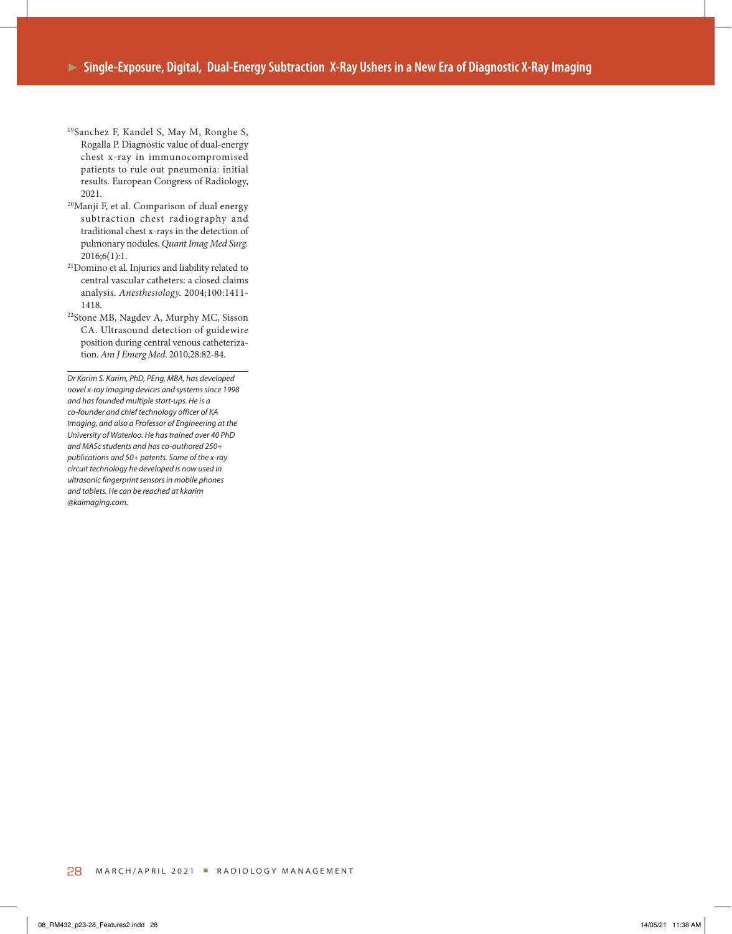- 19Sanchez F, Kandel S, May M, Ronghe S, Rogalla P. Diagnostic value of dual-energy chest x-ray in immunocompromised patients to rule out pneumonia: initial results. European Congress of Radiology, 2021.
- 20Manji F, et al. Comparison of dual energy subtraction chest radiography and traditional chest x-rays in the detection of pulmonary nodules. *Quant Imag Med Surg.* 2016;6(1):1.
- 21Domino et al. Injuries and liability related to central vascular catheters: a closed claims analysis. *Anesthesiology.* 2004;100:1411- 1418.
- 22Stone MB, Nagdev A, Murphy MC, Sisson CA. Ultrasound detection of guidewire position during central venous catheterization. *Am J Emerg Med*. 2010;28:82-84.

*Dr Karim S. Karim, PhD, PEng, MBA, has developed novel x-ray imaging devices and systems since 1998 and has founded multiple start-ups. He is a co-founder and chief technology officer of KA Imaging, and also a Professor of Engineering at the University of Waterloo. He has trained over 40 PhD and MASc students and has co-authored 250+ publications and 50+ patents. Some of the x-ray circuit technology he developed is now used in ultrasonic fingerprint sensors in mobile phones and tablets. He can be reached at kkarim @kaimaging.com.*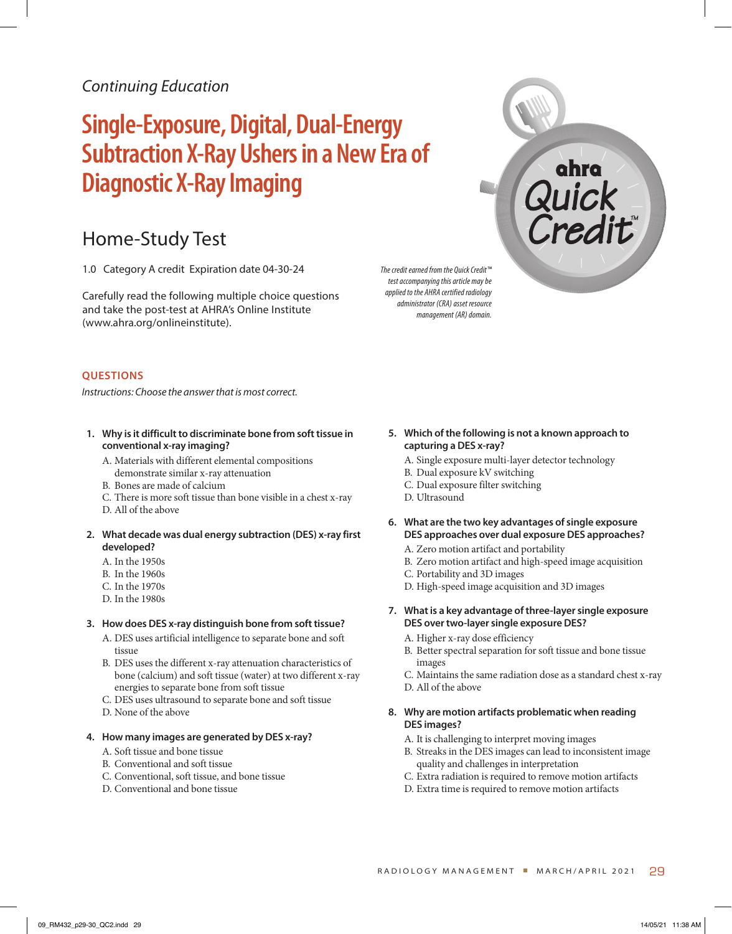## *Continuing Education*

# **Single-Exposure, Digital, Dual-Energy Subtraction X-Ray Ushers in a New Era of Diagnostic X-Ray Imaging**

# Home-Study Test

1.0 Category A credit Expiration date 04-30-24

Carefully read the following multiple choice questions and take the post-test at AHRA's Online Institute [\(www.ahra.org/onlineinstitute](www.ahra.org/onlineinstitute)).

#### *The credit earned from the Quick Credit™ test accompanying this article may be applied to the AHRA certified radiology administrator (CRA) asset resource management (AR) domain.*

#### **QUESTIONS**

*Instructions: Choose the answer that is most correct.* 

#### **1. Why is it difficult to discriminate bone from soft tissue in conventional x-ray imaging?**

- A. Materials with different elemental compositions demonstrate similar x-ray attenuation
- B. Bones are made of calcium
- C. There is more soft tissue than bone visible in a chest x-ray
- D. All of the above

#### **2. What decade was dual energy subtraction (DES) x-ray first developed?**

- A. In the 1950s
- B. In the 1960s
- C. In the 1970s
- D. In the 1980s

#### **3. How does DES x-ray distinguish bone from soft tissue?**

- A. DES uses artificial intelligence to separate bone and soft tissue
- B. DES uses the different x-ray attenuation characteristics of bone (calcium) and soft tissue (water) at two different x-ray energies to separate bone from soft tissue
- C. DES uses ultrasound to separate bone and soft tissue
- D. None of the above

#### **4. How many images are generated by DES x-ray?**

- A. Soft tissue and bone tissue
- B. Conventional and soft tissue
- C. Conventional, soft tissue, and bone tissue
- D. Conventional and bone tissue

#### **5. Which of the following is not a known approach to capturing a DES x-ray?**

- A. Single exposure multi-layer detector technology
- B. Dual exposure kV switching
- C. Dual exposure filter switching
- D. Ultrasound
- **6. What are the two key advantages of single exposure DES approaches over dual exposure DES approaches?** 
	- A. Zero motion artifact and portability
	- B. Zero motion artifact and high-speed image acquisition
	- C. Portability and 3D images
	- D. High-speed image acquisition and 3D images
- **7. What is a key advantage of three-layer single exposure DES over two-layer single exposure DES?** 
	- A. Higher x-ray dose efficiency
	- B. Better spectral separation for soft tissue and bone tissue images
	- C. Maintains the same radiation dose as a standard chest x-ray
	- D. All of the above

#### **8. Why are motion artifacts problematic when reading DES images?**

- A. It is challenging to interpret moving images
- B. Streaks in the DES images can lead to inconsistent image quality and challenges in interpretation
- C. Extra radiation is required to remove motion artifacts
- D. Extra time is required to remove motion artifacts